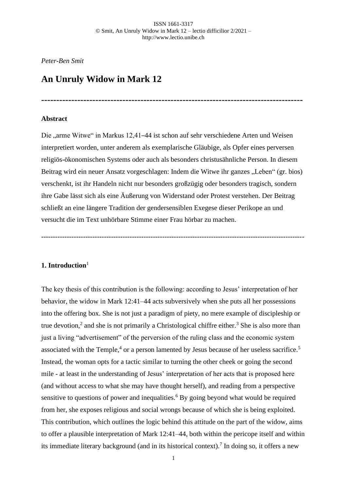**---------------------------------------------------------------------------------------**

# *Peter-Ben Smit*

# **An Unruly Widow in Mark 12**

### **Abstract**

Die "arme Witwe" in Markus 12,41–44 ist schon auf sehr verschiedene Arten und Weisen interpretiert worden, unter anderem als exemplarische Gläubige, als Opfer eines perversen religiös-ökonomischen Systems oder auch als besonders christusähnliche Person. In diesem Beitrag wird ein neuer Ansatz vorgeschlagen: Indem die Witwe ihr ganzes "Leben" (gr. bios) verschenkt, ist ihr Handeln nicht nur besonders großzügig oder besonders tragisch, sondern ihre Gabe lässt sich als eine Äußerung von Widerstand oder Protest verstehen. Der Beitrag schließt an eine längere Tradition der gendersensiblen Exegese dieser Perikope an und versucht die im Text unhörbare Stimme einer Frau hörbar zu machen.

-----------------------------------------------------------------------------------------------------------------

# **1. Introduction**<sup>1</sup>

The key thesis of this contribution is the following: according to Jesus' interpretation of her behavior, the widow in Mark 12:41–44 acts subversively when she puts all her possessions into the offering box. She is not just a paradigm of piety, no mere example of discipleship or true devotion,<sup>2</sup> and she is not primarily a Christological chiffre either.<sup>3</sup> She is also more than just a living "advertisement" of the perversion of the ruling class and the economic system associated with the Temple, $4$  or a person lamented by Jesus because of her useless sacrifice.<sup>5</sup> Instead, the woman opts for a tactic similar to turning the other cheek or going the second mile - at least in the understanding of Jesus' interpretation of her acts that is proposed here (and without access to what she may have thought herself), and reading from a perspective sensitive to questions of power and inequalities.<sup>6</sup> By going beyond what would be required from her, she exposes religious and social wrongs because of which she is being exploited. This contribution, which outlines the logic behind this attitude on the part of the widow, aims to offer a plausible interpretation of Mark 12:41–44, both within the pericope itself and within its immediate literary background (and in its historical context).<sup>7</sup> In doing so, it offers a new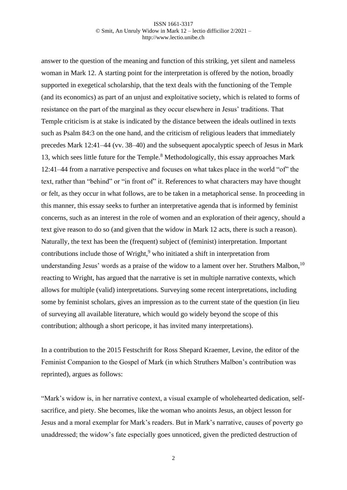answer to the question of the meaning and function of this striking, yet silent and nameless woman in Mark 12. A starting point for the interpretation is offered by the notion, broadly supported in exegetical scholarship, that the text deals with the functioning of the Temple (and its economics) as part of an unjust and exploitative society, which is related to forms of resistance on the part of the marginal as they occur elsewhere in Jesus' traditions. That Temple criticism is at stake is indicated by the distance between the ideals outlined in texts such as Psalm 84:3 on the one hand, and the criticism of religious leaders that immediately precedes Mark 12:41–44 (vv. 38–40) and the subsequent apocalyptic speech of Jesus in Mark 13, which sees little future for the Temple.<sup>8</sup> Methodologically, this essay approaches Mark 12:41–44 from a narrative perspective and focuses on what takes place in the world "of" the text, rather than "behind" or "in front of" it. References to what characters may have thought or felt, as they occur in what follows, are to be taken in a metaphorical sense. In proceeding in this manner, this essay seeks to further an interpretative agenda that is informed by feminist concerns, such as an interest in the role of women and an exploration of their agency, should a text give reason to do so (and given that the widow in Mark 12 acts, there is such a reason). Naturally, the text has been the (frequent) subject of (feminist) interpretation. Important contributions include those of Wright, $9$  who initiated a shift in interpretation from understanding Jesus' words as a praise of the widow to a lament over her. Struthers Malbon,  $10$ reacting to Wright, has argued that the narrative is set in multiple narrative contexts, which allows for multiple (valid) interpretations. Surveying some recent interpretations, including some by feminist scholars, gives an impression as to the current state of the question (in lieu of surveying all available literature, which would go widely beyond the scope of this contribution; although a short pericope, it has invited many interpretations).

In a contribution to the 2015 Festschrift for Ross Shepard Kraemer, Levine, the editor of the Feminist Companion to the Gospel of Mark (in which Struthers Malbon's contribution was reprinted), argues as follows:

"Mark's widow is, in her narrative context, a visual example of wholehearted dedication, selfsacrifice, and piety. She becomes, like the woman who anoints Jesus, an object lesson for Jesus and a moral exemplar for Mark's readers. But in Mark's narrative, causes of poverty go unaddressed; the widow's fate especially goes unnoticed, given the predicted destruction of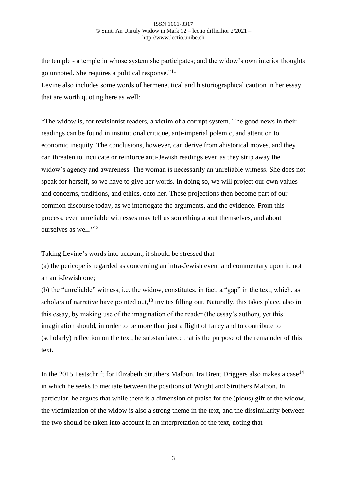the temple - a temple in whose system she participates; and the widow's own interior thoughts go unnoted. She requires a political response."<sup>11</sup>

Levine also includes some words of hermeneutical and historiographical caution in her essay that are worth quoting here as well:

"The widow is, for revisionist readers, a victim of a corrupt system. The good news in their readings can be found in institutional critique, anti-imperial polemic, and attention to economic inequity. The conclusions, however, can derive from ahistorical moves, and they can threaten to inculcate or reinforce anti-Jewish readings even as they strip away the widow's agency and awareness. The woman is necessarily an unreliable witness. She does not speak for herself, so we have to give her words. In doing so, we will project our own values and concerns, traditions, and ethics, onto her. These projections then become part of our common discourse today, as we interrogate the arguments, and the evidence. From this process, even unreliable witnesses may tell us something about themselves, and about ourselves as well."<sup>12</sup>

Taking Levine's words into account, it should be stressed that

(a) the pericope is regarded as concerning an intra-Jewish event and commentary upon it, not an anti-Jewish one;

(b) the "unreliable" witness, i.e. the widow, constitutes, in fact, a "gap" in the text, which, as scholars of narrative have pointed out,  $13$  invites filling out. Naturally, this takes place, also in this essay, by making use of the imagination of the reader (the essay's author), yet this imagination should, in order to be more than just a flight of fancy and to contribute to (scholarly) reflection on the text, be substantiated: that is the purpose of the remainder of this text.

In the 2015 Festschrift for Elizabeth Struthers Malbon, Ira Brent Driggers also makes a case<sup>14</sup> in which he seeks to mediate between the positions of Wright and Struthers Malbon. In particular, he argues that while there is a dimension of praise for the (pious) gift of the widow, the victimization of the widow is also a strong theme in the text, and the dissimilarity between the two should be taken into account in an interpretation of the text, noting that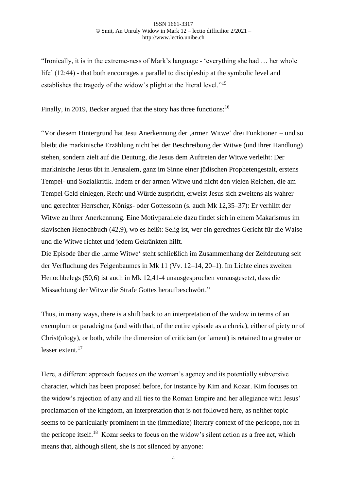"Ironically, it is in the extreme-ness of Mark's language - 'everything she had … her whole life' (12:44) - that both encourages a parallel to discipleship at the symbolic level and establishes the tragedy of the widow's plight at the literal level."<sup>15</sup>

Finally, in 2019, Becker argued that the story has three functions: <sup>16</sup>

"Vor diesem Hintergrund hat Jesu Anerkennung der 'armen Witwe' drei Funktionen – und so bleibt die markinische Erzählung nicht bei der Beschreibung der Witwe (und ihrer Handlung) stehen, sondern zielt auf die Deutung, die Jesus dem Auftreten der Witwe verleiht: Der markinische Jesus übt in Jerusalem, ganz im Sinne einer jüdischen Prophetengestalt, erstens Tempel- und Sozialkritik. Indem er der armen Witwe und nicht den vielen Reichen, die am Tempel Geld einlegen, Recht und Würde zuspricht, erweist Jesus sich zweitens als wahrer und gerechter Herrscher, Königs- oder Gottessohn (s. auch Mk 12,35–37): Er verhilft der Witwe zu ihrer Anerkennung. Eine Motivparallele dazu findet sich in einem Makarismus im slavischen Henochbuch (42,9), wo es heißt: Selig ist, wer ein gerechtes Gericht für die Waise und die Witwe richtet und jedem Gekränkten hilft.

Die Episode über die 'arme Witwe' steht schließlich im Zusammenhang der Zeitdeutung seit der Verfluchung des Feigenbaumes in Mk 11 (Vv. 12–14, 20–1). Im Lichte eines zweiten Henochbelegs (50,6) ist auch in Mk 12,41-4 unausgesprochen vorausgesetzt, dass die Missachtung der Witwe die Strafe Gottes heraufbeschwört."

Thus, in many ways, there is a shift back to an interpretation of the widow in terms of an exemplum or paradeigma (and with that, of the entire episode as a chreia), either of piety or of Christ(ology), or both, while the dimension of criticism (or lament) is retained to a greater or lesser extent.<sup>17</sup>

Here, a different approach focuses on the woman's agency and its potentially subversive character, which has been proposed before, for instance by Kim and Kozar. Kim focuses on the widow's rejection of any and all ties to the Roman Empire and her allegiance with Jesus' proclamation of the kingdom, an interpretation that is not followed here, as neither topic seems to be particularly prominent in the (immediate) literary context of the pericope, nor in the pericope itself.<sup>18</sup> Kozar seeks to focus on the widow's silent action as a free act, which means that, although silent, she is not silenced by anyone: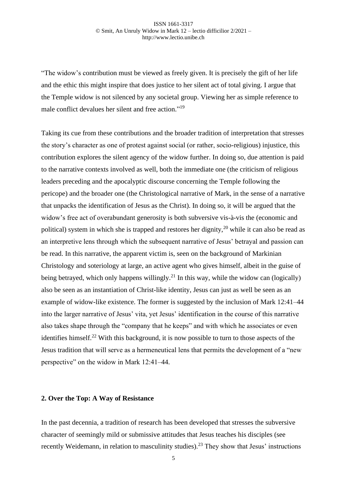"The widow's contribution must be viewed as freely given. It is precisely the gift of her life and the ethic this might inspire that does justice to her silent act of total giving. I argue that the Temple widow is not silenced by any societal group. Viewing her as simple reference to male conflict devalues her silent and free action."<sup>19</sup>

Taking its cue from these contributions and the broader tradition of interpretation that stresses the story's character as one of protest against social (or rather, socio-religious) injustice, this contribution explores the silent agency of the widow further. In doing so, due attention is paid to the narrative contexts involved as well, both the immediate one (the criticism of religious leaders preceding and the apocalyptic discourse concerning the Temple following the pericope) and the broader one (the Christological narrative of Mark, in the sense of a narrative that unpacks the identification of Jesus as the Christ). In doing so, it will be argued that the widow's free act of overabundant generosity is both subversive vis-à-vis the (economic and political) system in which she is trapped and restores her dignity,<sup>20</sup> while it can also be read as an interpretive lens through which the subsequent narrative of Jesus' betrayal and passion can be read. In this narrative, the apparent victim is, seen on the background of Markinian Christology and soteriology at large, an active agent who gives himself, albeit in the guise of being betrayed, which only happens willingly.<sup>21</sup> In this way, while the widow can (logically) also be seen as an instantiation of Christ-like identity, Jesus can just as well be seen as an example of widow-like existence. The former is suggested by the inclusion of Mark 12:41–44 into the larger narrative of Jesus' vita, yet Jesus' identification in the course of this narrative also takes shape through the "company that he keeps" and with which he associates or even identifies himself.<sup>22</sup> With this background, it is now possible to turn to those aspects of the Jesus tradition that will serve as a hermeneutical lens that permits the development of a "new perspective" on the widow in Mark 12:41–44.

### **2. Over the Top: A Way of Resistance**

In the past decennia, a tradition of research has been developed that stresses the subversive character of seemingly mild or submissive attitudes that Jesus teaches his disciples (see recently Weidemann, in relation to masculinity studies).<sup>23</sup> They show that Jesus' instructions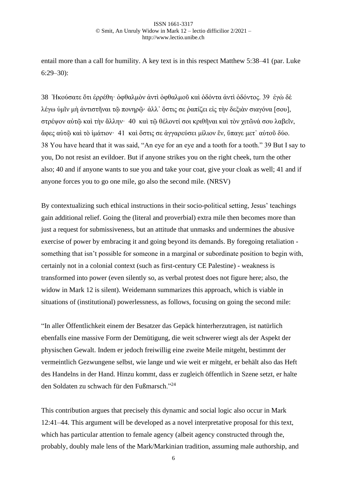entail more than a call for humility. A key text is in this respect Matthew 5:38–41 (par. Luke 6:29–30):

38 Ἠκούσατε ὅτι ἐρρέθη· ὀφθαλμὸν ἀντὶ ὀφθαλμοῦ καὶ ὀδόντα ἀντὶ ὀδόντος. 39 ἐγὼ δὲ λέγω ὑμῖν μὴ ἀντιστῆναι τῷ πονηρῷ· ἀλλ᾽ ὅστις σε ῥαπίζει εἰς τὴν δεξιὰν σιαγόνα [σου], στρέψον αὐτῷ καὶ τὴν ἄλλην· 40 καὶ τῷ θέλοντί σοι κριθῆναι καὶ τὸν χιτῶνά σου λαβεῖν, ἄφες αὐτῷ καὶ τὸ ἱμάτιον· 41 καὶ ὅστις σε ἀγγαρεύσει μίλιον ἕν, ὕπαγε μετ᾽ αὐτοῦ δύο. 38 You have heard that it was said, "An eye for an eye and a tooth for a tooth." 39 But I say to you, Do not resist an evildoer. But if anyone strikes you on the right cheek, turn the other also; 40 and if anyone wants to sue you and take your coat, give your cloak as well; 41 and if anyone forces you to go one mile, go also the second mile. (NRSV)

By contextualizing such ethical instructions in their socio-political setting, Jesus' teachings gain additional relief. Going the (literal and proverbial) extra mile then becomes more than just a request for submissiveness, but an attitude that unmasks and undermines the abusive exercise of power by embracing it and going beyond its demands. By foregoing retaliation something that isn't possible for someone in a marginal or subordinate position to begin with, certainly not in a colonial context (such as first-century CE Palestine) - weakness is transformed into power (even silently so, as verbal protest does not figure here; also, the widow in Mark 12 is silent). Weidemann summarizes this approach, which is viable in situations of (institutional) powerlessness, as follows, focusing on going the second mile:

"In aller Öffentlichkeit einem der Besatzer das Gepäck hinterherzutragen, ist natürlich ebenfalls eine massive Form der Demütigung, die weit schwerer wiegt als der Aspekt der physischen Gewalt. Indem er jedoch freiwillig eine zweite Meile mitgeht, bestimmt der vermeintlich Gezwungene selbst, wie lange und wie weit er mitgeht, er behält also das Heft des Handelns in der Hand. Hinzu kommt, dass er zugleich öffentlich in Szene setzt, er halte den Soldaten zu schwach für den Fußmarsch."<sup>24</sup>

This contribution argues that precisely this dynamic and social logic also occur in Mark 12:41–44. This argument will be developed as a novel interpretative proposal for this text, which has particular attention to female agency (albeit agency constructed through the, probably, doubly male lens of the Mark/Markinian tradition, assuming male authorship, and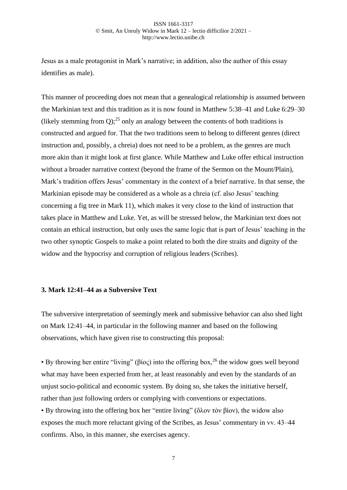Jesus as a male protagonist in Mark's narrative; in addition, also the author of this essay identifies as male).

This manner of proceeding does not mean that a genealogical relationship is assumed between the Markinian text and this tradition as it is now found in Matthew 5:38–41 and Luke 6:29–30 (likely stemming from  $Q$ );<sup>25</sup> only an analogy between the contents of both traditions is constructed and argued for. That the two traditions seem to belong to different genres (direct instruction and, possibly, a chreia) does not need to be a problem, as the genres are much more akin than it might look at first glance. While Matthew and Luke offer ethical instruction without a broader narrative context (beyond the frame of the Sermon on the Mount/Plain), Mark's tradition offers Jesus' commentary in the context of a brief narrative. In that sense, the Markinian episode may be considered as a whole as a chreia (cf. also Jesus' teaching concerning a fig tree in Mark 11), which makes it very close to the kind of instruction that takes place in Matthew and Luke. Yet, as will be stressed below, the Markinian text does not contain an ethical instruction, but only uses the same logic that is part of Jesus' teaching in the two other synoptic Gospels to make a point related to both the dire straits and dignity of the widow and the hypocrisy and corruption of religious leaders (Scribes).

## **3. Mark 12:41–44 as a Subversive Text**

The subversive interpretation of seemingly meek and submissive behavior can also shed light on Mark 12:41–44, in particular in the following manner and based on the following observations, which have given rise to constructing this proposal:

• By throwing her entire "living" (βίος) into the offering box,  $^{26}$  the widow goes well beyond what may have been expected from her, at least reasonably and even by the standards of an unjust socio-political and economic system. By doing so, she takes the initiative herself, rather than just following orders or complying with conventions or expectations.

• By throwing into the offering box her "entire living" (ὅλον τὸν βίον), the widow also exposes the much more reluctant giving of the Scribes, as Jesus' commentary in vv. 43–44 confirms. Also, in this manner, she exercises agency.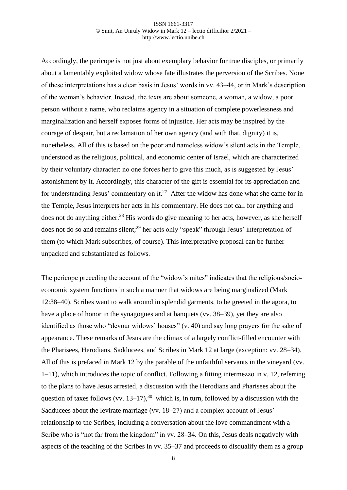Accordingly, the pericope is not just about exemplary behavior for true disciples, or primarily about a lamentably exploited widow whose fate illustrates the perversion of the Scribes. None of these interpretations has a clear basis in Jesus' words in vv. 43–44, or in Mark's description of the woman's behavior. Instead, the texts are about someone, a woman, a widow, a poor person without a name, who reclaims agency in a situation of complete powerlessness and marginalization and herself exposes forms of injustice. Her acts may be inspired by the courage of despair, but a reclamation of her own agency (and with that, dignity) it is, nonetheless. All of this is based on the poor and nameless widow's silent acts in the Temple, understood as the religious, political, and economic center of Israel, which are characterized by their voluntary character: no one forces her to give this much, as is suggested by Jesus' astonishment by it. Accordingly, this character of the gift is essential for its appreciation and for understanding Jesus' commentary on it.<sup>27</sup> After the widow has done what she came for in the Temple, Jesus interprets her acts in his commentary. He does not call for anything and does not do anything either.<sup>28</sup> His words do give meaning to her acts, however, as she herself does not do so and remains silent;<sup>29</sup> her acts only "speak" through Jesus' interpretation of them (to which Mark subscribes, of course). This interpretative proposal can be further unpacked and substantiated as follows.

The pericope preceding the account of the "widow's mites" indicates that the religious/socioeconomic system functions in such a manner that widows are being marginalized (Mark 12:38–40). Scribes want to walk around in splendid garments, to be greeted in the agora, to have a place of honor in the synagogues and at banquets (vv. 38–39), yet they are also identified as those who "devour widows' houses" (v. 40) and say long prayers for the sake of appearance. These remarks of Jesus are the climax of a largely conflict-filled encounter with the Pharisees, Herodians, Sadducees, and Scribes in Mark 12 at large (exception: vv. 28–34). All of this is prefaced in Mark 12 by the parable of the unfaithful servants in the vineyard (vv. 1–11), which introduces the topic of conflict. Following a fitting intermezzo in v. 12, referring to the plans to have Jesus arrested, a discussion with the Herodians and Pharisees about the question of taxes follows (vv.  $13-17$ ),<sup>30</sup> which is, in turn, followed by a discussion with the Sadducees about the levirate marriage (vv. 18–27) and a complex account of Jesus' relationship to the Scribes, including a conversation about the love commandment with a Scribe who is "not far from the kingdom" in vv. 28–34. On this, Jesus deals negatively with aspects of the teaching of the Scribes in vv. 35–37 and proceeds to disqualify them as a group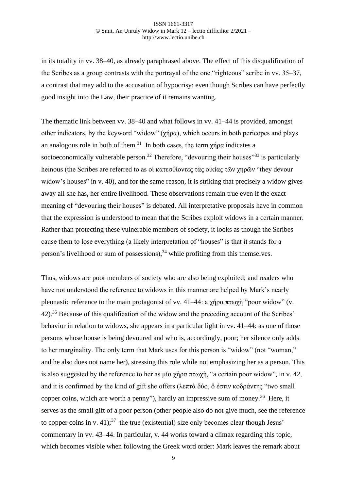in its totality in vv. 38–40, as already paraphrased above. The effect of this disqualification of the Scribes as a group contrasts with the portrayal of the one "righteous" scribe in vv. 35–37, a contrast that may add to the accusation of hypocrisy: even though Scribes can have perfectly good insight into the Law, their practice of it remains wanting.

The thematic link between vv. 38–40 and what follows in vv. 41–44 is provided, amongst other indicators, by the keyword "widow" ( $\gamma$ ήρα), which occurs in both pericopes and plays an analogous role in both of them.<sup>31</sup> In both cases, the term  $\chi$ ήρα indicates a socioeconomically vulnerable person.<sup>32</sup> Therefore, "devouring their houses"<sup>33</sup> is particularly heinous (the Scribes are referred to as οἱ κατεσθίοντες τὰς οἰκίας τῶν χηρῶν "they devour widow's houses" in v. 40), and for the same reason, it is striking that precisely a widow gives away all she has, her entire livelihood. These observations remain true even if the exact meaning of "devouring their houses" is debated. All interpretative proposals have in common that the expression is understood to mean that the Scribes exploit widows in a certain manner. Rather than protecting these vulnerable members of society, it looks as though the Scribes cause them to lose everything (a likely interpretation of "houses" is that it stands for a person's livelihood or sum of possessions), $34$  while profiting from this themselves.

Thus, widows are poor members of society who are also being exploited; and readers who have not understood the reference to widows in this manner are helped by Mark's nearly pleonastic reference to the main protagonist of vv. 41–44: a χήρα πτωχὴ "poor widow" (v. 42).<sup>35</sup> Because of this qualification of the widow and the preceding account of the Scribes' behavior in relation to widows, she appears in a particular light in vv. 41–44: as one of those persons whose house is being devoured and who is, accordingly, poor; her silence only adds to her marginality. The only term that Mark uses for this person is "widow" (not "woman," and he also does not name her), stressing this role while not emphasizing her as a person. This is also suggested by the reference to her as μία χήρα πτωχή, "a certain poor widow", in v. 42, and it is confirmed by the kind of gift she offers (λεπτὰ δύο, ὅ ἐστιν κοδράντης "two small copper coins, which are worth a penny"), hardly an impressive sum of money.<sup>36</sup> Here, it serves as the small gift of a poor person (other people also do not give much, see the reference to copper coins in v. 41);<sup>37</sup> the true (existential) size only becomes clear though Jesus' commentary in vv. 43–44. In particular, v. 44 works toward a climax regarding this topic, which becomes visible when following the Greek word order: Mark leaves the remark about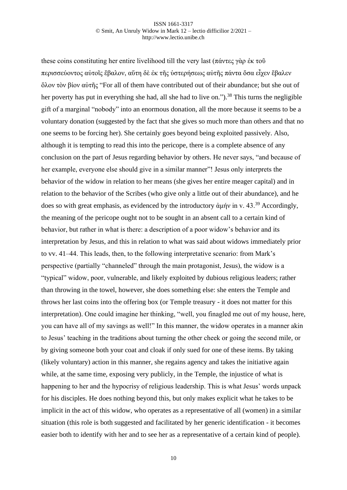these coins constituting her entire livelihood till the very last (πάντες γὰρ ἐκ τοῦ περισσεύοντος αὐτοῖς ἔβαλον, αὕτη δὲ ἐκ τῆς ὑστερήσεως αὐτῆς πάντα ὅσα εἶχεν ἔβαλεν ὅλον τὸν βίον αὐτῆς "For all of them have contributed out of their abundance; but she out of her poverty has put in everything she had, all she had to live on.").<sup>38</sup> This turns the negligible gift of a marginal "nobody" into an enormous donation, all the more because it seems to be a voluntary donation (suggested by the fact that she gives so much more than others and that no one seems to be forcing her). She certainly goes beyond being exploited passively. Also, although it is tempting to read this into the pericope, there is a complete absence of any conclusion on the part of Jesus regarding behavior by others. He never says, "and because of her example, everyone else should give in a similar manner"! Jesus only interprets the behavior of the widow in relation to her means (she gives her entire meager capital) and in relation to the behavior of the Scribes (who give only a little out of their abundance), and he does so with great emphasis, as evidenced by the introductory άμήν in v. 43.<sup>39</sup> Accordingly, the meaning of the pericope ought not to be sought in an absent call to a certain kind of behavior, but rather in what is there: a description of a poor widow's behavior and its interpretation by Jesus, and this in relation to what was said about widows immediately prior to vv. 41–44. This leads, then, to the following interpretative scenario: from Mark's perspective (partially "channeled" through the main protagonist, Jesus), the widow is a "typical" widow, poor, vulnerable, and likely exploited by dubious religious leaders; rather than throwing in the towel, however, she does something else: she enters the Temple and throws her last coins into the offering box (or Temple treasury - it does not matter for this interpretation). One could imagine her thinking, "well, you finagled me out of my house, here, you can have all of my savings as well!" In this manner, the widow operates in a manner akin to Jesus' teaching in the traditions about turning the other cheek or going the second mile, or by giving someone both your coat and cloak if only sued for one of these items. By taking (likely voluntary) action in this manner, she regains agency and takes the initiative again while, at the same time, exposing very publicly, in the Temple, the injustice of what is happening to her and the hypocrisy of religious leadership. This is what Jesus' words unpack for his disciples. He does nothing beyond this, but only makes explicit what he takes to be implicit in the act of this widow, who operates as a representative of all (women) in a similar situation (this role is both suggested and facilitated by her generic identification - it becomes easier both to identify with her and to see her as a representative of a certain kind of people).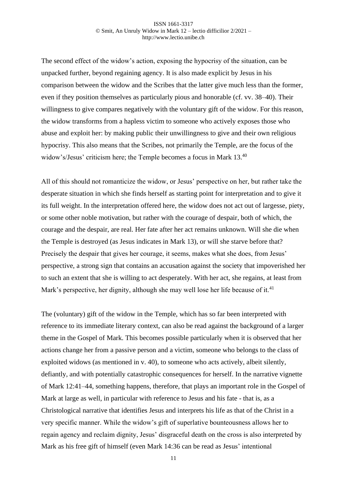The second effect of the widow's action, exposing the hypocrisy of the situation, can be unpacked further, beyond regaining agency. It is also made explicit by Jesus in his comparison between the widow and the Scribes that the latter give much less than the former, even if they position themselves as particularly pious and honorable (cf. vv. 38–40). Their willingness to give compares negatively with the voluntary gift of the widow. For this reason, the widow transforms from a hapless victim to someone who actively exposes those who abuse and exploit her: by making public their unwillingness to give and their own religious hypocrisy. This also means that the Scribes, not primarily the Temple, are the focus of the widow's/Jesus' criticism here; the Temple becomes a focus in Mark 13.<sup>40</sup>

All of this should not romanticize the widow, or Jesus' perspective on her, but rather take the desperate situation in which she finds herself as starting point for interpretation and to give it its full weight. In the interpretation offered here, the widow does not act out of largesse, piety, or some other noble motivation, but rather with the courage of despair, both of which, the courage and the despair, are real. Her fate after her act remains unknown. Will she die when the Temple is destroyed (as Jesus indicates in Mark 13), or will she starve before that? Precisely the despair that gives her courage, it seems, makes what she does, from Jesus' perspective, a strong sign that contains an accusation against the society that impoverished her to such an extent that she is willing to act desperately. With her act, she regains, at least from Mark's perspective, her dignity, although she may well lose her life because of it.<sup>41</sup>

The (voluntary) gift of the widow in the Temple, which has so far been interpreted with reference to its immediate literary context, can also be read against the background of a larger theme in the Gospel of Mark. This becomes possible particularly when it is observed that her actions change her from a passive person and a victim, someone who belongs to the class of exploited widows (as mentioned in v. 40), to someone who acts actively, albeit silently, defiantly, and with potentially catastrophic consequences for herself. In the narrative vignette of Mark 12:41–44, something happens, therefore, that plays an important role in the Gospel of Mark at large as well, in particular with reference to Jesus and his fate - that is, as a Christological narrative that identifies Jesus and interprets his life as that of the Christ in a very specific manner. While the widow's gift of superlative bounteousness allows her to regain agency and reclaim dignity, Jesus' disgraceful death on the cross is also interpreted by Mark as his free gift of himself (even Mark 14:36 can be read as Jesus' intentional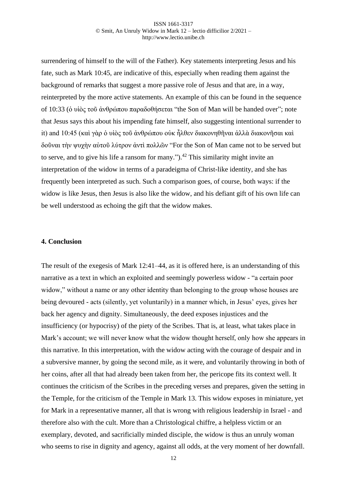surrendering of himself to the will of the Father). Key statements interpreting Jesus and his fate, such as Mark 10:45, are indicative of this, especially when reading them against the background of remarks that suggest a more passive role of Jesus and that are, in a way, reinterpreted by the more active statements. An example of this can be found in the sequence of 10:33 (ὁ υἱὸς τοῦ ἀνθρώπου παραδοθήσεται "the Son of Man will be handed over"; note that Jesus says this about his impending fate himself, also suggesting intentional surrender to it) and 10:45 (καὶ γὰρ ὁ υἱὸς τοῦ ἀνθρώπου οὐκ ἦλθεν διακονηθῆναι ἀλλὰ διακονῆσαι καὶ δοῦναι τὴν ψυχὴν αὐτοῦ λύτρον ἀντὶ πολλῶν "For the Son of Man came not to be served but to serve, and to give his life a ransom for many.").<sup>42</sup> This similarity might invite an interpretation of the widow in terms of a paradeigma of Christ-like identity, and she has frequently been interpreted as such. Such a comparison goes, of course, both ways: if the widow is like Jesus, then Jesus is also like the widow, and his defiant gift of his own life can be well understood as echoing the gift that the widow makes.

### **4. Conclusion**

The result of the exegesis of Mark 12:41–44, as it is offered here, is an understanding of this narrative as a text in which an exploited and seemingly powerless widow - "a certain poor widow," without a name or any other identity than belonging to the group whose houses are being devoured - acts (silently, yet voluntarily) in a manner which, in Jesus' eyes, gives her back her agency and dignity. Simultaneously, the deed exposes injustices and the insufficiency (or hypocrisy) of the piety of the Scribes. That is, at least, what takes place in Mark's account; we will never know what the widow thought herself, only how she appears in this narrative. In this interpretation, with the widow acting with the courage of despair and in a subversive manner, by going the second mile, as it were, and voluntarily throwing in both of her coins, after all that had already been taken from her, the pericope fits its context well. It continues the criticism of the Scribes in the preceding verses and prepares, given the setting in the Temple, for the criticism of the Temple in Mark 13. This widow exposes in miniature, yet for Mark in a representative manner, all that is wrong with religious leadership in Israel - and therefore also with the cult. More than a Christological chiffre, a helpless victim or an exemplary, devoted, and sacrificially minded disciple, the widow is thus an unruly woman who seems to rise in dignity and agency, against all odds, at the very moment of her downfall.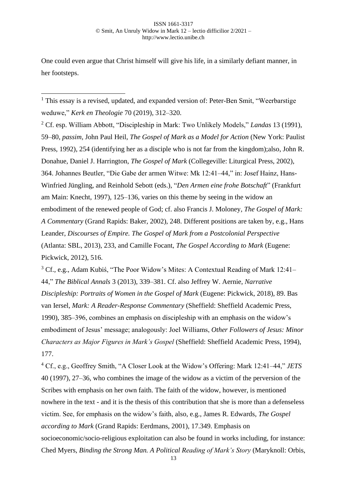One could even argue that Christ himself will give his life, in a similarly defiant manner, in her footsteps.

<sup>1</sup> This essay is a revised, updated, and expanded version of: Peter-Ben Smit, "Weerbarstige" weduwe," *Kerk en Theologie* 70 (2019), 312–320.

<sup>2</sup> Cf. esp. William Abbott, "Discipleship in Mark: Two Unlikely Models," *Landas* 13 (1991), 59–80, *passim*, John Paul Heil, *The Gospel of Mark as a Model for Action* (New York: Paulist Press, 1992), 254 (identifying her as a disciple who is not far from the kingdom);also, John R. Donahue, Daniel J. Harrington, *The Gospel of Mark* (Collegeville: Liturgical Press, 2002), 364. Johannes Beutler, "Die Gabe der armen Witwe: Mk 12:41–44," in: Josef Hainz, Hans-Winfried Jüngling, and Reinhold Sebott (eds.), "*Den Armen eine frohe Botschaft*" (Frankfurt am Main: Knecht, 1997), 125–136, varies on this theme by seeing in the widow an embodiment of the renewed people of God; cf. also Francis J. Moloney*, The Gospel of Mark: A Commentary* (Grand Rapids: Baker, 2002), 248. Different positions are taken by, e.g., Hans Leander, *Discourses of Empire. The Gospel of Mark from a Postcolonial Perspective*  (Atlanta: SBL, 2013), 233, and Camille Focant, *The Gospel According to Mark* (Eugene: Pickwick, 2012), 516.

<sup>3</sup> Cf., e.g., Adam Kubiś, "The Poor Widow's Mites: A Contextual Reading of Mark 12:41– 44," *The Biblical Annals* 3 (2013), 339–381. Cf. also Jeffrey W. Aernie, *Narrative Discipleship: Portraits of Women in the Gospel of Mark* (Eugene: Pickwick, 2018), 89. Bas van Iersel, *Mark: A Reader-Response Commentary* (Sheffield: Sheffield Academic Press, 1990), 385–396, combines an emphasis on discipleship with an emphasis on the widow's embodiment of Jesus' message; analogously: Joel Williams, *Other Followers of Jesus: Minor Characters as Major Figures in Mark's Gospel* (Sheffield: Sheffield Academic Press, 1994), 177.

<sup>4</sup> Cf., e.g., Geoffrey Smith, "A Closer Look at the Widow's Offering: Mark 12:41–44," *JETS* 40 (1997), 27–36, who combines the image of the widow as a victim of the perversion of the Scribes with emphasis on her own faith. The faith of the widow, however, is mentioned nowhere in the text - and it is the thesis of this contribution that she is more than a defenseless victim. See, for emphasis on the widow's faith, also, e.g., James R. Edwards, *The Gospel according to Mark* (Grand Rapids: Eerdmans, 2001), 17.349. Emphasis on socioeconomic/socio-religious exploitation can also be found in works including, for instance: Ched Myers, *Binding the Strong Man. A Political Reading of Mark's Story* (Maryknoll: Orbis,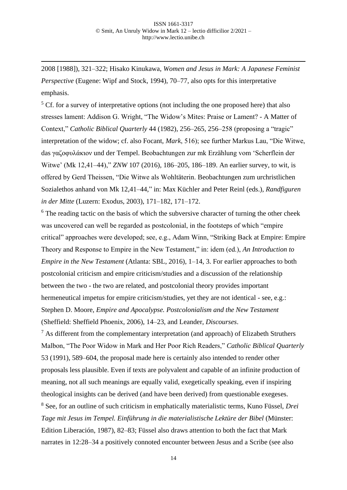2008 [1988]), 321–322; Hisako Kinukawa, *Women and Jesus in Mark: A Japanese Feminist Perspective* (Eugene: Wipf and Stock, 1994), 70–77, also opts for this interpretative emphasis.

 $5$  Cf. for a survey of interpretative options (not including the one proposed here) that also stresses lament: Addison G. Wright, "The Widow's Mites: Praise or Lament? - A Matter of Context," *Catholic Biblical Quarterly* 44 (1982), 256–265, 256–258 (proposing a "tragic" interpretation of the widow; cf. also Focant, *Mark*, 516); see further Markus Lau, "Die Witwe, das γαζοφυλάκιον und der Tempel. Beobachtungen zur mk Erzählung vom 'Scherflein der Witwe' (Mk 12,41–44)," *ZNW* 107 (2016), 186–205, 186–189. An earlier survey, to wit, is offered by Gerd Theissen, "Die Witwe als Wohltäterin. Beobachtungen zum urchristlichen Sozialethos anhand von Mk 12,41–44," in: Max Küchler and Peter Reinl (eds.), *Randfiguren in der Mitte* (Luzern: Exodus, 2003), 171–182, 171–172.

 $6$  The reading tactic on the basis of which the subversive character of turning the other cheek was uncovered can well be regarded as postcolonial, in the footsteps of which "empire critical" approaches were developed; see, e.g., Adam Winn, "Striking Back at Empire: Empire Theory and Response to Empire in the New Testament," in: idem (ed.), *An Introduction to Empire in the New Testament* (Atlanta: SBL, 2016), 1–14, 3. For earlier approaches to both postcolonial criticism and empire criticism/studies and a discussion of the relationship between the two - the two are related, and postcolonial theory provides important hermeneutical impetus for empire criticism/studies, yet they are not identical - see, e.g.: Stephen D. Moore, *Empire and Apocalypse. Postcolonialism and the New Testament*  (Sheffield: Sheffield Phoenix, 2006), 14–23, and Leander, *Discourses*.

 $<sup>7</sup>$  As different from the complementary interpretation (and approach) of Elizabeth Struthers</sup> Malbon, "The Poor Widow in Mark and Her Poor Rich Readers," *Catholic Biblical Quarterly* 53 (1991), 589–604, the proposal made here is certainly also intended to render other proposals less plausible. Even if texts are polyvalent and capable of an infinite production of meaning, not all such meanings are equally valid, exegetically speaking, even if inspiring theological insights can be derived (and have been derived) from questionable exegeses. <sup>8</sup> See, for an outline of such criticism in emphatically materialistic terms, Kuno Füssel, *Drei Tage mit Jesus im Tempel. Einführung in die materialistische Lektüre der Bibel* (Münster: Edition Liberación, 1987), 82–83; Füssel also draws attention to both the fact that Mark narrates in 12:28–34 a positively connoted encounter between Jesus and a Scribe (see also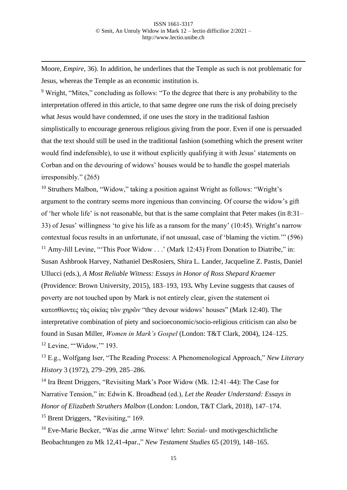Moore, *Empire*, 36). In addition, he underlines that the Temple as such is not problematic for Jesus, whereas the Temple as an economic institution is.

<sup>9</sup> Wright, "Mites," concluding as follows: "To the degree that there is any probability to the interpretation offered in this article, to that same degree one runs the risk of doing precisely what Jesus would have condemned, if one uses the story in the traditional fashion simplistically to encourage generous religious giving from the poor. Even if one is persuaded that the text should still be used in the traditional fashion (something which the present writer would find indefensible), to use it without explicitly qualifying it with Jesus' statements on Corban and on the devouring of widows' houses would be to handle the gospel materials irresponsibly." (265)

<sup>10</sup> Struthers Malbon, "Widow," taking a position against Wright as follows: "Wright's argument to the contrary seems more ingenious than convincing. Of course the widow's gift of 'her whole life' is not reasonable, but that is the same complaint that Peter makes (in 8:31– 33) of Jesus' willingness 'to give his life as a ransom for the many' (10:45). Wright's narrow contextual focus results in an unfortunate, if not unusual, case of 'blaming the victim.'" (596) <sup>11</sup> Amy-Jill Levine, "This Poor Widow . . .' (Mark 12:43) From Donation to Diatribe," in: Susan Ashbrook Harvey, Nathaniel DesRosiers, Shira L. Lander, Jacqueline Z. Pastis, Daniel Ullucci (eds.), *A Most Reliable Witness: Essays in Honor of Ross Shepard Kraemer* (Providence: Brown University, 2015), 183–193, 193**.** Why Levine suggests that causes of poverty are not touched upon by Mark is not entirely clear, given the statement οἱ κατεσθίοντες τὰς οἰκίας τῶν χηρῶν "they devour widows' houses" (Mark 12:40). The interpretative combination of piety and socioeconomic/socio-religious criticism can also be found in Susan Miller, *Women in Mark's Gospel* (London: T&T Clark, 2004), 124–125.  $12$  Levine, "'Widow," 193.

<sup>13</sup> E.g., Wolfgang Iser, "The Reading Process: A Phenomenological Approach," *New Literary History* 3 (1972), 279–299, 285–286.

<sup>14</sup> Ira Brent Driggers, "Revisiting Mark's Poor Widow (Mk. 12:41–44): The Case for Narrative Tension," in: Edwin K. Broadhead (ed.), *Let the Reader Understand: Essays in Honor of Elizabeth Struthers Malbon* (London: London, T&T Clark, 2018), 147–174. <sup>15</sup> Brent Driggers, *"*Revisiting," 169.

<sup>16</sup> Eve-Marie Becker, "Was die ,arme Witwe' lehrt: Sozial- und motivgeschichtliche Beobachtungen zu Mk 12,41-4par.," *New Testament Studies* 65 (2019), 148–165.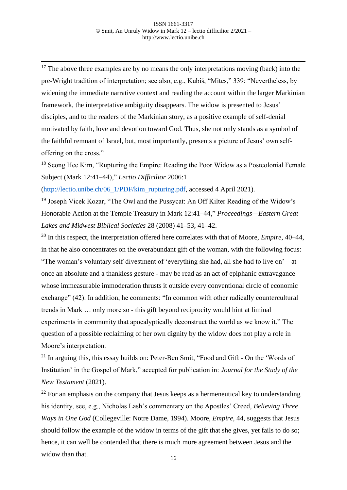$17$  The above three examples are by no means the only interpretations moving (back) into the pre-Wright tradition of interpretation; see also, e.g., Kubiś, "Mites," 339: "Nevertheless, by widening the immediate narrative context and reading the account within the larger Markinian framework, the interpretative ambiguity disappears. The widow is presented to Jesus' disciples, and to the readers of the Markinian story, as a positive example of self-denial motivated by faith, love and devotion toward God. Thus, she not only stands as a symbol of the faithful remnant of Israel, but, most importantly, presents a picture of Jesus' own selfoffering on the cross."

<sup>18</sup> Seong Hee Kim, "Rupturing the Empire: Reading the Poor Widow as a Postcolonial Female Subject (Mark 12:41–44)," *Lectio Difficilior* 2006:1

[\(http://lectio.unibe.ch/06\\_1/PDF/kim\\_rupturing.pdf,](http://lectio.unibe.ch/06_1/PDF/kim_rupturing.pdf) accessed 4 April 2021).

<sup>19</sup> Joseph Vicek Kozar, "The Owl and the Pussycat: An Off Kilter Reading of the Widow's Honorable Action at the Temple Treasury in Mark 12:41–44," *Proceedings—Eastern Great Lakes and Midwest Biblical Societies* 28 (2008) 41–53, 41–42.

<sup>20</sup> In this respect, the interpretation offered here correlates with that of Moore, *Empire*, 40–44, in that he also concentrates on the overabundant gift of the woman, with the following focus: "The woman's voluntary self-divestment of 'everything she had, all she had to live on'—at once an absolute and a thankless gesture - may be read as an act of epiphanic extravagance whose immeasurable immoderation thrusts it outside every conventional circle of economic exchange" (42). In addition, he comments: "In common with other radically countercultural trends in Mark … only more so - this gift beyond reciprocity would hint at liminal experiments in community that apocalyptically deconstruct the world as we know it." The question of a possible reclaiming of her own dignity by the widow does not play a role in Moore's interpretation.

<sup>21</sup> In arguing this, this essay builds on: Peter-Ben Smit, "Food and Gift - On the 'Words of Institution' in the Gospel of Mark," accepted for publication in: *Journal for the Study of the New Testament* (2021).

 $^{22}$  For an emphasis on the company that Jesus keeps as a hermeneutical key to understanding his identity, see, e.g., Nicholas Lash's commentary on the Apostles' Creed, *Believing Three Ways in One God* (Collegeville: Notre Dame, 1994). Moore, *Empire*, 44, suggests that Jesus should follow the example of the widow in terms of the gift that she gives, yet fails to do so; hence, it can well be contended that there is much more agreement between Jesus and the widow than that.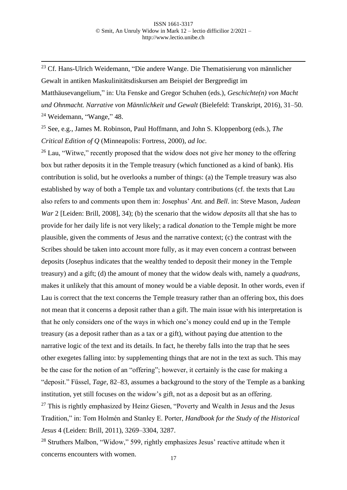<sup>23</sup> Cf. Hans-Ulrich Weidemann, "Die andere Wange. Die Thematisierung von männlicher Gewalt in antiken Maskulinitätsdiskursen am Beispiel der Bergpredigt im Matthäusevangelium," in: Uta Fenske and Gregor Schuhen (eds.), *Geschichte(n) von Macht und Ohnmacht. Narrative von Männlichkeit und Gewalt* (Bielefeld: Transkript, 2016), 31–50.  $24$  Weidemann, "Wange," 48.

<sup>25</sup> See, e.g., James M. Robinson, Paul Hoffmann, and John S. Kloppenborg (eds.), *The Critical Edition of Q* (Minneapolis: Fortress, 2000), *ad loc.*

 $26$  Lau, "Witwe," recently proposed that the widow does not give her money to the offering box but rather deposits it in the Temple treasury (which functioned as a kind of bank). His contribution is solid, but he overlooks a number of things: (a) the Temple treasury was also established by way of both a Temple tax and voluntary contributions (cf. the texts that Lau also refers to and comments upon them in: Josephus' *Ant.* and *Bell*. in: Steve Mason, *Judean War* 2 [Leiden: Brill, 2008], 34); (b) the scenario that the widow *deposits* all that she has to provide for her daily life is not very likely; a radical *donation* to the Temple might be more plausible, given the comments of Jesus and the narrative context; (c) the contrast with the Scribes should be taken into account more fully, as it may even concern a contrast between deposits (Josephus indicates that the wealthy tended to deposit their money in the Temple treasury) and a gift; (d) the amount of money that the widow deals with, namely a *quadrans*, makes it unlikely that this amount of money would be a viable deposit. In other words, even if Lau is correct that the text concerns the Temple treasury rather than an offering box, this does not mean that it concerns a deposit rather than a gift. The main issue with his interpretation is that he only considers one of the ways in which one's money could end up in the Temple treasury (as a deposit rather than as a tax or a gift), without paying due attention to the narrative logic of the text and its details. In fact, he thereby falls into the trap that he sees other exegetes falling into: by supplementing things that are not in the text as such. This may be the case for the notion of an "offering"; however, it certainly is the case for making a "deposit." Füssel, *Tage*, 82–83, assumes a background to the story of the Temple as a banking institution, yet still focuses on the widow's gift, not as a deposit but as an offering.  $27$  This is rightly emphasized by Heinz Giesen, "Poverty and Wealth in Jesus and the Jesus

Tradition," in: Tom Holmén and Stanley E. Porter, *Handbook for the Study of the Historical Jesus* 4 (Leiden: Brill, 2011), 3269–3304, 3287.

<sup>28</sup> Struthers Malbon, "Widow," 599, rightly emphasizes Jesus' reactive attitude when it concerns encounters with women.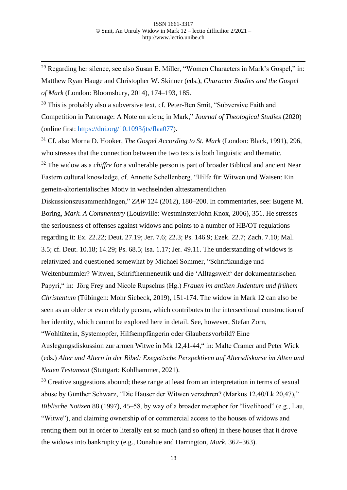<sup>29</sup> Regarding her silence, see also Susan E. Miller, "Women Characters in Mark's Gospel," in: Matthew Ryan Hauge and Christopher W. Skinner (eds.), *Character Studies and the Gospel of Mark* (London: Bloomsbury, 2014), 174–193, 185.

<sup>30</sup> This is probably also a subversive text, cf. Peter-Ben Smit, "Subversive Faith and Competition in Patronage: A Note on πίστις in Mark," *Journal of Theological Studies* (2020) (online first: [https://doi.org/10.1093/jts/flaa077\)](https://doi.org/10.1093/jts/flaa077).

<sup>31</sup> Cf. also Morna D. Hooker, *The Gospel According to St. Mark* (London: Black, 1991), 296, who stresses that the connection between the two texts is both linguistic and thematic.

<sup>32</sup> The widow as a *chiffre* for a vulnerable person is part of broader Biblical and ancient Near Eastern cultural knowledge, cf. Annette Schellenberg, "Hilfe für Witwen und Waisen: Ein gemein-altorientalisches Motiv in wechselnden alttestamentlichen

Diskussionszusammenhängen," *ZAW* 124 (2012), 180–200. In commentaries, see: Eugene M. Boring, *Mark. A Commentary* (Louisville: Westminster/John Knox, 2006), 351. He stresses the seriousness of offenses against widows and points to a number of HB/OT regulations regarding it: Ex. 22.22; Deut. 27.19; Jer. 7.6; 22.3; Ps. 146.9; Ezek. 22.7; Zach. 7.10; Mal. 3.5; cf. Deut. 10.18; 14.29; Ps. 68.5; Isa. 1.17; Jer. 49.11. The understanding of widows is relativized and questioned somewhat by Michael Sommer, "Schriftkundige und Weltenbummler? Witwen, Schrifthermeneutik und die 'Alltagswelt' der dokumentarischen Papyri," in: Jörg Frey and Nicole Rupschus (Hg.) *Frauen im antiken Judentum und frühem Christentum* (Tübingen: Mohr Siebeck, 2019), 151-174. The widow in Mark 12 can also be seen as an older or even elderly person, which contributes to the intersectional construction of her identity, which cannot be explored here in detail. See, however, Stefan Zorn,

"Wohltäterin, Systemopfer, Hilfsempfängerin oder Glaubensvorbild? Eine

Auslegungsdiskussion zur armen Witwe in Mk 12,41-44," in: Malte Cramer and Peter Wick (eds.) *Alter und Altern in der Bibel: Exegetische Perspektiven auf Altersdiskurse im Alten und Neuen Testament* (Stuttgart: Kohlhammer, 2021).

 $33$  Creative suggestions abound; these range at least from an interpretation in terms of sexual abuse by Günther Schwarz, "Die Häuser der Witwen verzehren? (Markus 12,40/Lk 20,47)," *Biblische Notizen* 88 (1997), 45–58, by way of a broader metaphor for "livelihood" (e.g., Lau, "Witwe"), and claiming ownership of or commercial access to the houses of widows and renting them out in order to literally eat so much (and so often) in these houses that it drove the widows into bankruptcy (e.g., Donahue and Harrington, *Mark*, 362–363).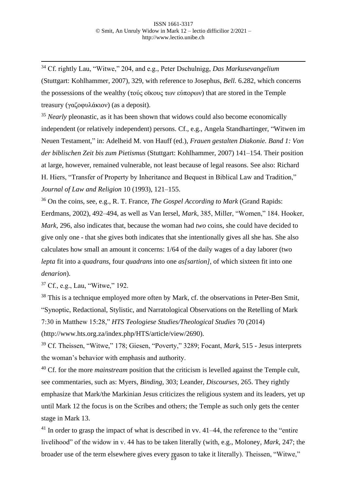<sup>34</sup> Cf. rightly Lau, "Witwe," 204, and e.g., Peter Dschulnigg, *Das Markusevangelium*  (Stuttgart: Kohlhammer, 2007), 329, with reference to Josephus, *Bell.* 6.282, which concerns the possessions of the wealthy (τούς οϊκους των εύπορων) that are stored in the Temple treasury (γαζοφυλάκιον) (as a deposit).

<sup>35</sup> *Nearly* pleonastic, as it has been shown that widows could also become economically independent (or relatively independent) persons. Cf., e.g., Angela Standhartinger, "Witwen im Neuen Testament," in: Adelheid M. von Hauff (ed.), *Frauen gestalten Diakonie. Band 1: Von der biblischen Zeit bis zum Pietismus* (Stuttgart: Kohlhammer, 2007) 141–154. Their position at large, however, remained vulnerable, not least because of legal reasons. See also: Richard H. Hiers, "Transfer of Property by Inheritance and Bequest in Biblical Law and Tradition," *Journal of Law and Religion* 10 (1993), 121–155.

<sup>36</sup> On the coins, see, e.g., R. T. France, *The Gospel According to Mark* (Grand Rapids: Eerdmans, 2002), 492–494, as well as Van Iersel, *Mark*, 385, Miller, "Women," 184. Hooker, *Mark*, 296, also indicates that, because the woman had *two* coins, she could have decided to give only one - that she gives both indicates that she intentionally gives all she has. She also calculates how small an amount it concerns: 1/64 of the daily wages of a day laborer (two *lepta* fit into a *quadrans*, four *quadrans* into one *as[sartion]*, of which sixteen fit into one *denarion*).

<sup>37</sup> Cf., e.g., Lau, "Witwe," 192.

<sup>38</sup> This is a technique employed more often by Mark, cf. the observations in Peter-Ben Smit, "Synoptic, Redactional, Stylistic, and Narratological Observations on the Retelling of Mark 7:30 in Matthew 15:28," *HTS Teologiese Studies/Theological Studies* 70 (2014) (http://www.hts.org.za/index.php/HTS/article/view/2690).

<sup>39</sup> Cf. Theissen, "Witwe," 178; Giesen, "Poverty," 3289; Focant, *Mark*, 515 - Jesus interprets the woman's behavior with emphasis and authority.

<sup>40</sup> Cf. for the more *mainstream* position that the criticism is levelled against the Temple cult, see commentaries, such as: Myers, *Binding*, 303; Leander, *Discourses*, 265. They rightly emphasize that Mark/the Markinian Jesus criticizes the religious system and its leaders, yet up until Mark 12 the focus is on the Scribes and others; the Temple as such only gets the center stage in Mark 13.

broader use of the term elsewhere gives every reason to take it literally). Theissen, "Witwe,"  $41$  In order to grasp the impact of what is described in vv.  $41-44$ , the reference to the "entire" livelihood" of the widow in v. 44 has to be taken literally (with, e.g., Moloney, *Mark*, 247; the